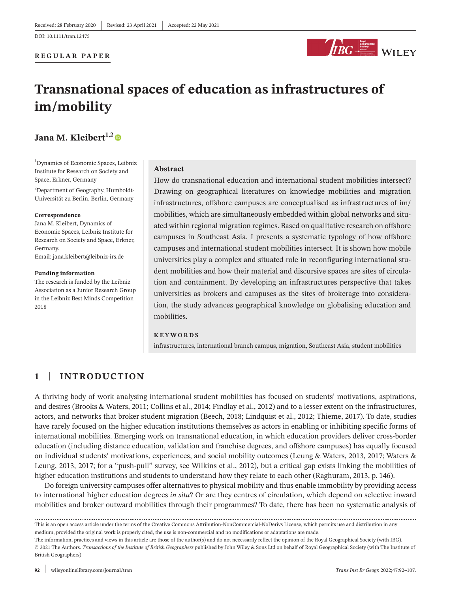#### **REGULAR PAPER**



# **Transnational spaces of education as infrastructures of im/mobility**

## Jana M. Kleibert<sup>1,2</sup>

1 Dynamics of Economic Spaces, Leibniz Institute for Research on Society and Space, Erkner, Germany

<sup>2</sup>Department of Geography, Humboldt-Universität zu Berlin, Berlin, Germany

#### **Correspondence**

Jana M. Kleibert, Dynamics of Economic Spaces, Leibniz Institute for Research on Society and Space, Erkner, Germany. Email: [jana.kleibert@leibniz-irs.de](mailto:jana.kleibert@leibniz-irs.de)

#### **Funding information**

The research is funded by the Leibniz Association as a Junior Research Group in the Leibniz Best Minds Competition 2018

#### **Abstract**

How do transnational education and international student mobilities intersect? Drawing on geographical literatures on knowledge mobilities and migration infrastructures, offshore campuses are conceptualised as infrastructures of im/ mobilities, which are simultaneously embedded within global networks and situated within regional migration regimes. Based on qualitative research on offshore campuses in Southeast Asia, I presents a systematic typology of how offshore campuses and international student mobilities intersect. It is shown how mobile universities play a complex and situated role in reconfiguring international student mobilities and how their material and discursive spaces are sites of circulation and containment. By developing an infrastructures perspective that takes universities as brokers and campuses as the sites of brokerage into consideration, the study advances geographical knowledge on globalising education and mobilities.

#### **KEYWORDS**

infrastructures, international branch campus, migration, Southeast Asia, student mobilities

## **1** | **INTRODUCTION**

A thriving body of work analysing international student mobilities has focused on students' motivations, aspirations, and desires (Brooks & Waters, 2011; Collins et al., 2014; Findlay et al., 2012) and to a lesser extent on the infrastructures, actors, and networks that broker student migration (Beech, 2018; Lindquist et al., 2012; Thieme, 2017). To date, studies have rarely focused on the higher education institutions themselves as actors in enabling or inhibiting specific forms of international mobilities. Emerging work on transnational education, in which education providers deliver cross-border education (including distance education, validation and franchise degrees, and offshore campuses) has equally focused on individual students' motivations, experiences, and social mobility outcomes (Leung & Waters, 2013, 2017; Waters & Leung, 2013, 2017; for a "push-pull" survey, see Wilkins et al., 2012), but a critical gap exists linking the mobilities of higher education institutions and students to understand how they relate to each other (Raghuram, 2013, p. 146).

Do foreign university campuses offer alternatives to physical mobility and thus enable immobility by providing access to international higher education degrees *in situ*? Or are they centres of circulation, which depend on selective inward mobilities and broker outward mobilities through their programmes? To date, there has been no systematic analysis of

This is an open access article under the terms of the Creative Commons [Attribution-NonCommercial-NoDerivs](http://creativecommons.org/licenses/by-nc-nd/4.0/) License, which permits use and distribution in any medium, provided the original work is properly cited, the use is non-commercial and no modifications or adaptations are made.

The information, practices and views in this article are those of the author(s) and do not necessarily reflect the opinion of the Royal Geographical Society (with IBG). © 2021 The Authors. *Transactions of the Institute of British Geographers* published by John Wiley & Sons Ltd on behalf of Royal Geographical Society (with The Institute of British Geographers)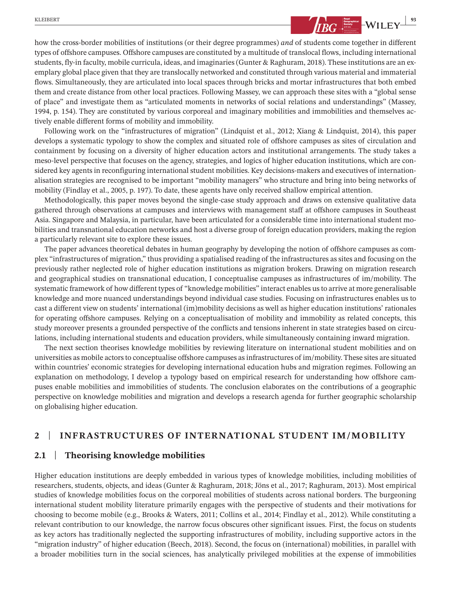

how the cross-border mobilities of institutions (or their degree programmes) *and* of students come together in different types of offshore campuses. Offshore campuses are constituted by a multitude of translocal flows, including international students, fly-in faculty, mobile curricula, ideas, and imaginaries(Gunter & Raghuram, 2018). These institutions are an exemplary global place given that they are translocally networked and constituted through various material and immaterial flows. Simultaneously, they are articulated into local spaces through bricks and mortar infrastructures that both embed them and create distance from other local practices. Following Massey, we can approach these sites with a "global sense of place" and investigate them as "articulated moments in networks of social relations and understandings" (Massey, 1994, p. 154). They are constituted by various corporeal and imaginary mobilities and immobilities and themselves actively enable different forms of mobility and immobility.

Following work on the "infrastructures of migration" (Lindquist et al., 2012; Xiang & Lindquist, 2014), this paper develops a systematic typology to show the complex and situated role of offshore campuses as sites of circulation and containment by focusing on a diversity of higher education actors and institutional arrangements. The study takes a meso-level perspective that focuses on the agency, strategies, and logics of higher education institutions, which are considered key agents in reconfiguring international student mobilities. Key decisions-makers and executives of internationalisation strategies are recognised to be important "mobility managers" who structure and bring into being networks of mobility (Findlay et al., 2005, p. 197). To date, these agents have only received shallow empirical attention.

Methodologically, this paper moves beyond the single-case study approach and draws on extensive qualitative data gathered through observations at campuses and interviews with management staff at offshore campuses in Southeast Asia. Singapore and Malaysia, in particular, have been articulated for a considerable time into international student mobilities and transnational education networks and host a diverse group of foreign education providers, making the region a particularly relevant site to explore these issues.

The paper advances theoretical debates in human geography by developing the notion of offshore campuses as complex "infrastructures of migration," thus providing a spatialised reading of the infrastructures as sites and focusing on the previously rather neglected role of higher education institutions as migration brokers. Drawing on migration research and geographical studies on transnational education, I conceptualise campuses as infrastructures of im/mobility. The systematic framework of how different types of "knowledge mobilities" interact enables usto arrive at more generalisable knowledge and more nuanced understandings beyond individual case studies. Focusing on infrastructures enables us to cast a different view on students' international (im)mobility decisions as well as higher education institutions' rationales for operating offshore campuses. Relying on a conceptualisation of mobility and immobility as related concepts, this study moreover presents a grounded perspective of the conflicts and tensions inherent in state strategies based on circulations, including international students and education providers, while simultaneously containing inward migration.

The next section theorises knowledge mobilities by reviewing literature on international student mobilities and on universities as mobile actors to conceptualise offshore campuses as infrastructures of im/mobility. These sites are situated within countries' economic strategies for developing international education hubs and migration regimes. Following an explanation on methodology, I develop a typology based on empirical research for understanding how offshore campuses enable mobilities and immobilities of students. The conclusion elaborates on the contributions of a geographic perspective on knowledge mobilities and migration and develops a research agenda for further geographic scholarship on globalising higher education.

#### **2** | **INFRASTRUCTURES OF INTERNATIONAL STUDENT IM/MOBILITY**

#### **2.1** | **Theorising knowledge mobilities**

Higher education institutions are deeply embedded in various types of knowledge mobilities, including mobilities of researchers, students, objects, and ideas (Gunter & Raghuram, 2018; Jöns et al., 2017; Raghuram, 2013). Most empirical studies of knowledge mobilities focus on the corporeal mobilities of students across national borders. The burgeoning international student mobility literature primarily engages with the perspective of students and their motivations for choosing to become mobile (e.g., Brooks & Waters, 2011; Collins et al., 2014; Findlay et al., 2012). While constituting a relevant contribution to our knowledge, the narrow focus obscures other significant issues. First, the focus on students as key actors has traditionally neglected the supporting infrastructures of mobility, including supportive actors in the "migration industry" of higher education (Beech, 2018). Second, the focus on (international) mobilities, in parallel with a broader mobilities turn in the social sciences, has analytically privileged mobilities at the expense of immobilities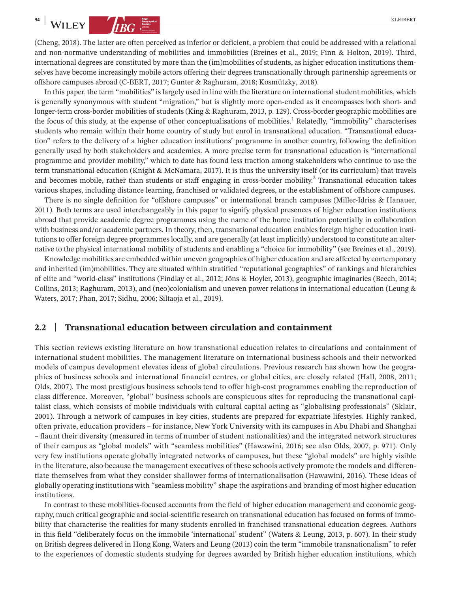(Cheng, 2018). The latter are often perceived as inferior or deficient, a problem that could be addressed with a relational and non-normative understanding of mobilities and immobilities (Breines et al., 2019; Finn & Holton, 2019). Third, international degrees are constituted by more than the (im)mobilities of students, as higher education institutions themselves have become increasingly mobile actors offering their degrees transnationally through partnership agreements or offshore campuses abroad (C-BERT, 2017; Gunter & Raghuram, 2018; Kosmützky, 2018).

In this paper, the term "mobilities" islargely used in line with the literature on internationalstudent mobilities, which is generally synonymous with student "migration," but is slightly more open-ended as it encompasses both short- and longer-term cross-border mobilities of students (King & Raghuram, 2013, p. 129). Cross-border geographic mobilities are the focus of this study, at the expense of other conceptualisations of mobilities.<sup>1</sup> Relatedly, "immobility" characterises students who remain within their home country of study but enrol in transnational education. "Transnational education" refers to the delivery of a higher education institutions' programme in another country, following the definition generally used by both stakeholders and academics. A more precise term for transnational education is "international programme and provider mobility," which to date has found less traction among stakeholders who continue to use the term transnational education (Knight & McNamara, 2017). It is thus the university itself (or its curriculum) that travels and becomes mobile, rather than students or staff engaging in cross-border mobility.<sup>2</sup> Transnational education takes various shapes, including distance learning, franchised or validated degrees, or the establishment of offshore campuses.

There is no single definition for "offshore campuses" or international branch campuses (Miller-Idriss & Hanauer, 2011). Both terms are used interchangeably in this paper to signify physical presences of higher education institutions abroad that provide academic degree programmes using the name of the home institution potentially in collaboration with business and/or academic partners. In theory, then, transnational education enables foreign higher education institutions to offer foreign degree programmes locally, and are generally (at least implicitly) understood to constitute an alternative to the physical international mobility of students and enabling a "choice for immobility" (see Breines et al., 2019).

Knowledge mobilities are embedded within uneven geographies of higher education and are affected by contemporary and inherited (im)mobilities. They are situated within stratified "reputational geographies" of rankings and hierarchies of elite and "world-class" institutions (Findlay et al., 2012; Jöns & Hoyler, 2013), geographic imaginaries (Beech, 2014; Collins, 2013; Raghuram, 2013), and (neo)colonialism and uneven power relations in international education (Leung & Waters, 2017; Phan, 2017; Sidhu, 2006; Siltaoja et al., 2019).

#### **2.2** | **Transnational education between circulation and containment**

This section reviews existing literature on how transnational education relates to circulations and containment of international student mobilities. The management literature on international business schools and their networked models of campus development elevates ideas of global circulations. Previous research has shown how the geographies of business schools and international financial centres, or global cities, are closely related (Hall, 2008, 2011; Olds, 2007). The most prestigious business schools tend to offer high-cost programmes enabling the reproduction of class difference. Moreover, "global" business schools are conspicuous sites for reproducing the transnational capitalist class, which consists of mobile individuals with cultural capital acting as "globalising professionals" (Sklair, 2001). Through a network of campuses in key cities, students are prepared for expatriate lifestyles. Highly ranked, often private, education providers – for instance, New York University with its campuses in Abu Dhabi and Shanghai – flaunt their diversity (measured in terms of number of student nationalities) and the integrated network structures of their campus as "global models" with "seamless mobilities" (Hawawini, 2016; see also Olds, 2007, p. 971). Only very few institutions operate globally integrated networks of campuses, but these "global models" are highly visible in the literature, also because the management executives of these schools actively promote the models and differentiate themselves from what they consider shallower forms of internationalisation (Hawawini, 2016). These ideas of globally operating institutions with "seamless mobility" shape the aspirations and branding of most higher education institutions.

In contrast to these mobilities-focused accounts from the field of higher education management and economic geography, much critical geographic and social-scientific research on transnational education has focused on forms of immobility that characterise the realities for many students enrolled in franchised transnational education degrees. Authors in this field "deliberately focus on the immobile 'international' student" (Waters & Leung, 2013, p. 607). In their study on British degrees delivered in Hong Kong, Waters and Leung (2013) coin the term "immobile transnationalism" to refer to the experiences of domestic students studying for degrees awarded by British higher education institutions, which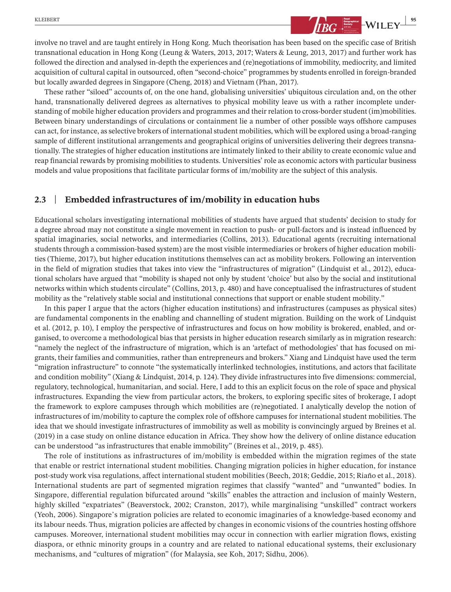involve no travel and are taught entirely in Hong Kong. Much theorisation has been based on the specific case of British transnational education in Hong Kong (Leung & Waters, 2013, 2017; Waters & Leung, 2013, 2017) and further work has followed the direction and analysed in-depth the experiences and (re)negotiations of immobility, mediocrity, and limited acquisition of cultural capital in outsourced, often "second-choice" programmes by students enrolled in foreign-branded but locally awarded degrees in Singapore (Cheng, 2018) and Vietnam (Phan, 2017).

These rather "siloed" accounts of, on the one hand, globalising universities' ubiquitous circulation and, on the other hand, transnationally delivered degrees as alternatives to physical mobility leave us with a rather incomplete understanding of mobile higher education providers and programmes and their relation to cross-borderstudent (im)mobilities. Between binary understandings of circulations or containment lie a number of other possible ways offshore campuses can act, for instance, as selective brokers of international student mobilities, which will be explored using a broad-ranging sample of different institutional arrangements and geographical origins of universities delivering their degrees transnationally. The strategies of higher education institutions are intimately linked to their ability to create economic value and reap financial rewards by promising mobilities to students. Universities' role as economic actors with particular business models and value propositions that facilitate particular forms of im/mobility are the subject of this analysis.

#### **2.3** | **Embedded infrastructures of im/mobility in education hubs**

Educational scholars investigating international mobilities of students have argued that students' decision to study for a degree abroad may not constitute a single movement in reaction to push- or pull-factors and is instead influenced by spatial imaginaries, social networks, and intermediaries (Collins, 2013). Educational agents (recruiting international students through a commission-based system) are the most visible intermediaries or brokers of higher education mobilities (Thieme, 2017), but higher education institutions themselves can act as mobility brokers. Following an intervention in the field of migration studies that takes into view the "infrastructures of migration" (Lindquist et al., 2012), educational scholars have argued that "mobility is shaped not only by student 'choice' but also by the social and institutional networks within which students circulate" (Collins, 2013, p. 480) and have conceptualised the infrastructures of student mobility as the "relatively stable social and institutional connections that support or enable student mobility."

In this paper I argue that the actors (higher education institutions) and infrastructures (campuses as physical sites) are fundamental components in the enabling and channelling of student migration. Building on the work of Lindquist et al. (2012, p. 10), I employ the perspective of infrastructures and focus on how mobility is brokered, enabled, and organised, to overcome a methodological bias that persists in higher education research similarly as in migration research: "namely the neglect of the infrastructure of migration, which is an 'artefact of methodologies' that has focused on migrants, their families and communities, rather than entrepreneurs and brokers." Xiang and Lindquist have used the term "migration infrastructure" to connote "the systematically interlinked technologies, institutions, and actors that facilitate and condition mobility" (Xiang & Lindquist, 2014, p. 124). They divide infrastructures into five dimensions: commercial, regulatory, technological, humanitarian, and social. Here, I add to this an explicit focus on the role of space and physical infrastructures. Expanding the view from particular actors, the brokers, to exploring specific sites of brokerage, I adopt the framework to explore campuses through which mobilities are (re)negotiated. I analytically develop the notion of infrastructures of im/mobility to capture the complex role of offshore campuses for international student mobilities. The idea that we should investigate infrastructures of immobility as well as mobility is convincingly argued by Breines et al. (2019) in a case study on online distance education in Africa. They show how the delivery of online distance education can be understood "as infrastructures that enable immobility" (Breines et al., 2019, p. 485).

The role of institutions as infrastructures of im/mobility is embedded within the migration regimes of the state that enable or restrict international student mobilities. Changing migration policies in higher education, for instance post-study work visa regulations, affect international student mobilities (Beech, 2018; Geddie, 2015; Riaño et al., 2018). International students are part of segmented migration regimes that classify "wanted" and "unwanted" bodies. In Singapore, differential regulation bifurcated around "skills" enables the attraction and inclusion of mainly Western, highly skilled "expatriates" (Beaverstock, 2002; Cranston, 2017), while marginalising "unskilled" contract workers (Yeoh, 2006). Singapore's migration policies are related to economic imaginaries of a knowledge-based economy and its labour needs. Thus, migration policies are affected by changes in economic visions of the countries hosting offshore campuses. Moreover, international student mobilities may occur in connection with earlier migration flows, existing diaspora, or ethnic minority groups in a country and are related to national educational systems, their exclusionary mechanisms, and "cultures of migration" (for Malaysia, see Koh, 2017; Sidhu, 2006).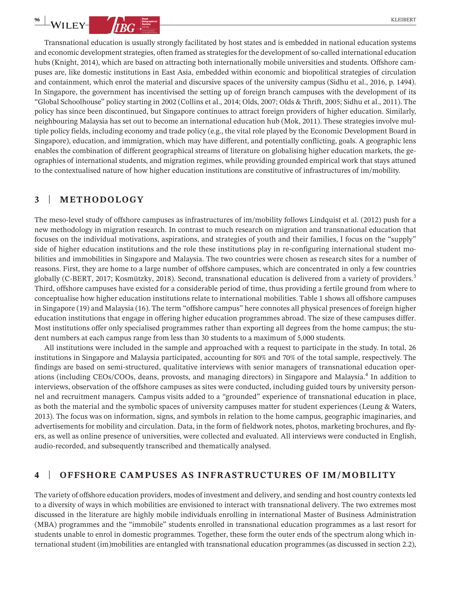Transnational education is usually strongly facilitated by host states and is embedded in national education systems and economic development strategies, often framed as strategies for the development of so-called international education hubs (Knight, 2014), which are based on attracting both internationally mobile universities and students. Offshore campuses are, like domestic institutions in East Asia, embedded within economic and biopolitical strategies of circulation and containment, which enrol the material and discursive spaces of the university campus (Sidhu et al., 2016, p. 1494). In Singapore, the government has incentivised the setting up of foreign branch campuses with the development of its "Global Schoolhouse" policy starting in 2002 (Collins et al., 2014; Olds, 2007; Olds & Thrift, 2005; Sidhu et al., 2011). The policy has since been discontinued, but Singapore continues to attract foreign providers of higher education. Similarly, neighbouring Malaysia has set out to become an international education hub (Mok, 2011). These strategies involve multiple policy fields, including economy and trade policy (e.g., the vital role played by the Economic Development Board in Singapore), education, and immigration, which may have different, and potentially conflicting, goals. A geographic lens enables the combination of different geographical streams of literature on globalising higher education markets, the geographies of international students, and migration regimes, while providing grounded empirical work that stays attuned to the contextualised nature of how higher education institutions are constitutive of infrastructures of im/mobility.

## **3** | **METHODOLOGY**

The meso-level study of offshore campuses as infrastructures of im/mobility follows Lindquist et al. (2012) push for a new methodology in migration research. In contrast to much research on migration and transnational education that focuses on the individual motivations, aspirations, and strategies of youth and their families, I focus on the "supply" side of higher education institutions and the role these institutions play in re-configuring international student mobilities and immobilities in Singapore and Malaysia. The two countries were chosen as research sites for a number of reasons. First, they are home to a large number of offshore campuses, which are concentrated in only a few countries globally (C-BERT, 2017; Kosmützky, 2018). Second, transnational education is delivered from a variety of providers.<sup>3</sup> Third, offshore campuses have existed for a considerable period of time, thus providing a fertile ground from where to conceptualise how higher education institutions relate to international mobilities. Table 1 shows all offshore campuses in Singapore (19) and Malaysia (16). The term "offshore campus" here connotes all physical presences of foreign higher education institutions that engage in offering higher education programmes abroad. The size of these campuses differ. Most institutions offer only specialised programmes rather than exporting all degrees from the home campus; the student numbers at each campus range from less than 30 students to a maximum of 5,000 students.

All institutions were included in the sample and approached with a request to participate in the study. In total, 26 institutions in Singapore and Malaysia participated, accounting for 80% and 70% of the total sample, respectively. The findings are based on semi-structured, qualitative interviews with senior managers of transnational education operations (including CEOs/COOs, deans, provosts, and managing directors) in Singapore and Malaysia.<sup>4</sup> In addition to interviews, observation of the offshore campuses as sites were conducted, including guided tours by university personnel and recruitment managers. Campus visits added to a "grounded" experience of transnational education in place, as both the material and the symbolic spaces of university campuses matter for student experiences (Leung & Waters, 2013). The focus was on information, signs, and symbols in relation to the home campus, geographic imaginaries, and advertisements for mobility and circulation. Data, in the form of fieldwork notes, photos, marketing brochures, and flyers, as well as online presence of universities, were collected and evaluated. All interviews were conducted in English, audio-recorded, and subsequently transcribed and thematically analysed.

## **4** | **OFFSHORE CAMPUSES AS INFRASTRUCTURES OF IM/MOBILITY**

The variety of offshore education providers, modes of investment and delivery, and sending and host country contextsled to a diversity of ways in which mobilities are envisioned to interact with transnational delivery. The two extremes most discussed in the literature are highly mobile individuals enrolling in international Master of Business Administration (MBA) programmes and the "immobile" students enrolled in transnational education programmes as a last resort for students unable to enrol in domestic programmes. Together, these form the outer ends of the spectrum along which international student (im)mobilities are entangled with transnational education programmes (as discussed in section 2.2),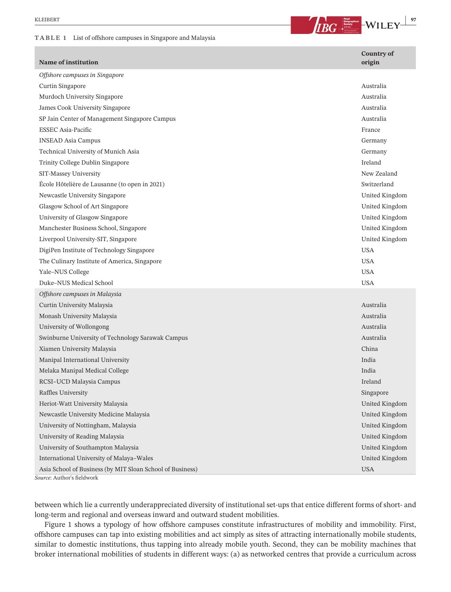#### **TABLE 1** List of offshore campuses in Singapore and Malaysia

**EXLEIBERT 197**<br>**BUCKLEY PHONE CONSUMING THE VILLEY PROPERTY** 

| Name of institution                                       | <b>Country of</b><br>origin |
|-----------------------------------------------------------|-----------------------------|
| Offshore campuses in Singapore                            |                             |
| Curtin Singapore                                          | Australia                   |
| Murdoch University Singapore                              | Australia                   |
| James Cook University Singapore                           | Australia                   |
| SP Jain Center of Management Singapore Campus             | Australia                   |
| <b>ESSEC Asia-Pacific</b>                                 | France                      |
| <b>INSEAD Asia Campus</b>                                 | Germany                     |
| Technical University of Munich Asia                       | Germany                     |
| Trinity College Dublin Singapore                          | Ireland                     |
| SIT-Massey University                                     | New Zealand                 |
| École Hôtelière de Lausanne (to open in 2021)             | Switzerland                 |
| Newcastle University Singapore                            | United Kingdom              |
| Glasgow School of Art Singapore                           | United Kingdom              |
| University of Glasgow Singapore                           | United Kingdom              |
| Manchester Business School, Singapore                     | United Kingdom              |
| Liverpool University-SIT, Singapore                       | United Kingdom              |
| DigiPen Institute of Technology Singapore                 | <b>USA</b>                  |
| The Culinary Institute of America, Singapore              | <b>USA</b>                  |
| Yale-NUS College                                          | <b>USA</b>                  |
| Duke-NUS Medical School                                   | <b>USA</b>                  |
| Offshore campuses in Malaysia                             |                             |
| Curtin University Malaysia                                | Australia                   |
| Monash University Malaysia                                | Australia                   |
| University of Wollongong                                  | Australia                   |
| Swinburne University of Technology Sarawak Campus         | Australia                   |
| Xiamen University Malaysia                                | China                       |
| Manipal International University                          | India                       |
| Melaka Manipal Medical College                            | India                       |
| RCSI-UCD Malaysia Campus                                  | Ireland                     |
| Raffles University                                        | Singapore                   |
| Heriot-Watt University Malaysia                           | United Kingdom              |
| Newcastle University Medicine Malaysia                    | United Kingdom              |
| University of Nottingham, Malaysia                        | United Kingdom              |
| University of Reading Malaysia                            | United Kingdom              |
| University of Southampton Malaysia                        | United Kingdom              |
| International University of Malaya-Wales                  | United Kingdom              |
| Asia School of Business (by MIT Sloan School of Business) | <b>USA</b>                  |

*Source*: Author's fieldwork

between which lie a currently underappreciated diversity of institutional set-ups that entice different forms of short- and long-term and regional and overseas inward and outward student mobilities.

Figure 1 shows a typology of how offshore campuses constitute infrastructures of mobility and immobility. First, offshore campuses can tap into existing mobilities and act simply as sites of attracting internationally mobile students, similar to domestic institutions, thus tapping into already mobile youth. Second, they can be mobility machines that broker international mobilities of students in different ways: (a) as networked centres that provide a curriculum across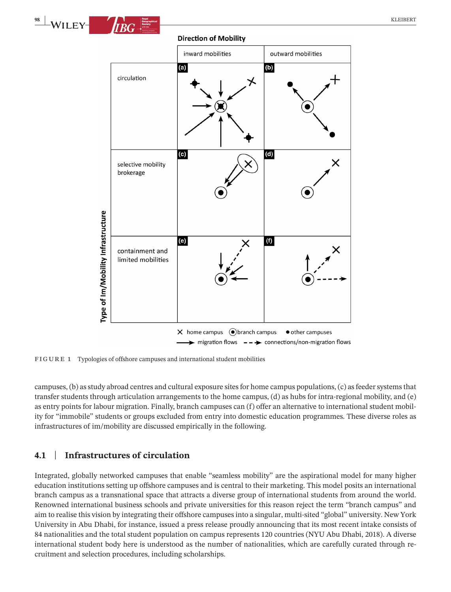

#### **Direction of Mobility**



**FIGURE 1** Typologies of offshore campuses and international student mobilities

campuses, (b) as study abroad centres and cultural exposure sites for home campus populations, (c) as feeder systems that transfer students through articulation arrangements to the home campus, (d) as hubs for intra-regional mobility, and (e) as entry points for labour migration. Finally, branch campuses can (f) offer an alternative to international student mobility for "immobile" students or groups excluded from entry into domestic education programmes. These diverse roles as infrastructures of im/mobility are discussed empirically in the following.

## **4.1** | **Infrastructures of circulation**

Integrated, globally networked campuses that enable "seamless mobility" are the aspirational model for many higher education institutions setting up offshore campuses and is central to their marketing. This model posits an international branch campus as a transnational space that attracts a diverse group of international students from around the world. Renowned international business schools and private universities for this reason reject the term "branch campus" and aim to realise this vision by integrating their offshore campusesinto a singular, multi-sited "global" university. New York University in Abu Dhabi, for instance, issued a press release proudly announcing that its most recent intake consists of 84 nationalities and the total student population on campus represents 120 countries (NYU Abu Dhabi, 2018). A diverse international student body here is understood as the number of nationalities, which are carefully curated through recruitment and selection procedures, including scholarships.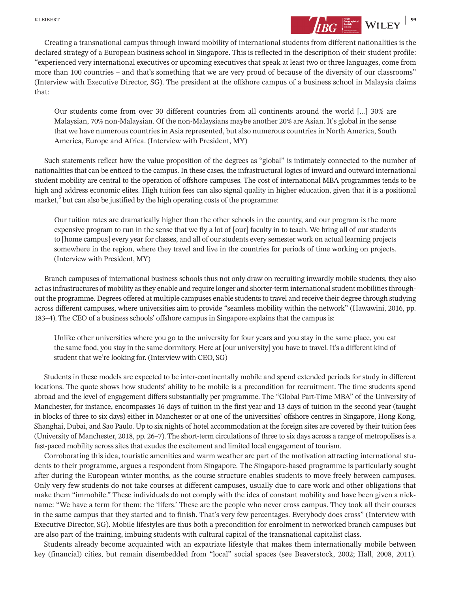

Creating a transnational campus through inward mobility of international students from different nationalities is the declared strategy of a European business school in Singapore. This is reflected in the description of their student profile: "experienced very international executives or upcoming executives that speak at least two or three languages, come from more than 100 countries – and that's something that we are very proud of because of the diversity of our classrooms" (Interview with Executive Director, SG). The president at the offshore campus of a business school in Malaysia claims that:

Our students come from over 30 different countries from all continents around the world […] 30% are Malaysian, 70% non-Malaysian. Of the non-Malaysians maybe another 20% are Asian. It's global in the sense that we have numerous countries in Asia represented, but also numerous countries in North America, South America, Europe and Africa. (Interview with President, MY)

Such statements reflect how the value proposition of the degrees as "global" is intimately connected to the number of nationalities that can be enticed to the campus. In these cases, the infrastructural logics of inward and outward international student mobility are central to the operation of offshore campuses. The cost of international MBA programmes tends to be high and address economic elites. High tuition fees can also signal quality in higher education, given that it is a positional market, $5$  but can also be justified by the high operating costs of the programme:

Our tuition rates are dramatically higher than the other schools in the country, and our program is the more expensive program to run in the sense that we fly a lot of [our] faculty in to teach. We bring all of our students to [home campus] every year for classes, and all of ourstudents every semester work on actual learning projects somewhere in the region, where they travel and live in the countries for periods of time working on projects. (Interview with President, MY)

Branch campuses of international business schools thus not only draw on recruiting inwardly mobile students, they also act as infrastructures of mobility as they enable and require longer and shorter-term international student mobilities throughout the programme. Degrees offered at multiple campuses enable students to travel and receive their degree through studying across different campuses, where universities aim to provide "seamless mobility within the network" (Hawawini, 2016, pp. 183–4). The CEO of a business schools' offshore campus in Singapore explains that the campus is:

Unlike other universities where you go to the university for four years and you stay in the same place, you eat the same food, you stay in the same dormitory. Here at [our university] you have to travel. It's a different kind of student that we're looking for. (Interview with CEO, SG)

Students in these models are expected to be inter-continentally mobile and spend extended periods for study in different locations. The quote shows how students' ability to be mobile is a precondition for recruitment. The time students spend abroad and the level of engagement differs substantially per programme. The "Global Part-Time MBA" of the University of Manchester, for instance, encompasses 16 days of tuition in the first year and 13 days of tuition in the second year (taught in blocks of three to six days) either in Manchester or at one of the universities' offshore centres in Singapore, Hong Kong, Shanghai, Dubai, and Sao Paulo. Up to six nights of hotel accommodation at the foreign sites are covered by their tuition fees (University of Manchester, 2018, pp. 26–7). The short-term circulations of three to six days across a range of metropolisesis a fast-paced mobility across sites that exudes the excitement and limited local engagement of tourism.

Corroborating this idea, touristic amenities and warm weather are part of the motivation attracting international students to their programme, argues a respondent from Singapore. The Singapore-based programme is particularly sought after during the European winter months, as the course structure enables students to move freely between campuses. Only very few students do not take courses at different campuses, usually due to care work and other obligations that make them "immobile." These individuals do not comply with the idea of constant mobility and have been given a nickname: "We have a term for them: the 'lifers.' These are the people who never cross campus. They took all their courses in the same campus that they started and to finish. That's very few percentages. Everybody does cross" (Interview with Executive Director, SG). Mobile lifestyles are thus both a precondition for enrolment in networked branch campuses but are also part of the training, imbuing students with cultural capital of the transnational capitalist class.

Students already become acquainted with an expatriate lifestyle that makes them internationally mobile between key (financial) cities, but remain disembedded from "local" social spaces (see Beaverstock, 2002; Hall, 2008, 2011).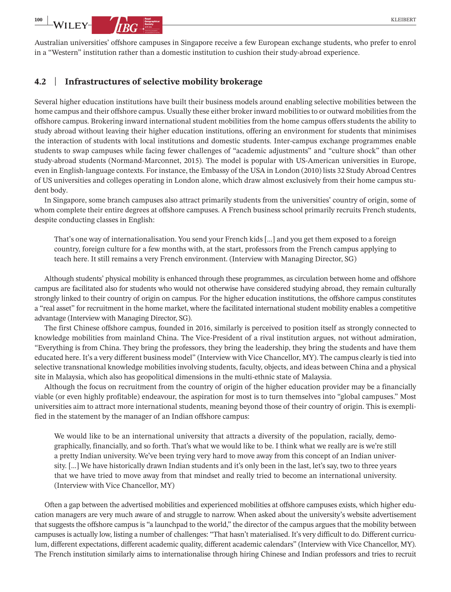Australian universities' offshore campuses in Singapore receive a few European exchange students, who prefer to enrol in a "Western" institution rather than a domestic institution to cushion their study-abroad experience.

#### **4.2** | **Infrastructures of selective mobility brokerage**

Several higher education institutions have built their business models around enabling selective mobilities between the home campus and their offshore campus. Usually these either broker inward mobilities to or outward mobilities from the offshore campus. Brokering inward international student mobilities from the home campus offers students the ability to study abroad without leaving their higher education institutions, offering an environment for students that minimises the interaction of students with local institutions and domestic students. Inter-campus exchange programmes enable students to swap campuses while facing fewer challenges of "academic adjustments" and "culture shock" than other study-abroad students (Normand-Marconnet, 2015). The model is popular with US-American universities in Europe, even in English-language contexts. For instance, the Embassy of the USA in London (2010) lists 32 Study Abroad Centres of US universities and colleges operating in London alone, which draw almost exclusively from their home campus student body.

In Singapore, some branch campuses also attract primarily students from the universities' country of origin, some of whom complete their entire degrees at offshore campuses. A French business school primarily recruits French students, despite conducting classes in English:

That's one way of internationalisation. You send your French kids […] and you get them exposed to a foreign country, foreign culture for a few months with, at the start, professors from the French campus applying to teach here. It still remains a very French environment. (Interview with Managing Director, SG)

Although students' physical mobility is enhanced through these programmes, as circulation between home and offshore campus are facilitated also for students who would not otherwise have considered studying abroad, they remain culturally strongly linked to their country of origin on campus. For the higher education institutions, the offshore campus constitutes a "real asset" for recruitment in the home market, where the facilitated international student mobility enables a competitive advantage (Interview with Managing Director, SG).

The first Chinese offshore campus, founded in 2016, similarly is perceived to position itself as strongly connected to knowledge mobilities from mainland China. The Vice-President of a rival institution argues, not without admiration, "Everything is from China. They bring the professors, they bring the leadership, they bring the students and have them educated here. It's a very different business model" (Interview with Vice Chancellor, MY). The campus clearly is tied into selective transnational knowledge mobilities involving students, faculty, objects, and ideas between China and a physical site in Malaysia, which also has geopolitical dimensions in the multi-ethnic state of Malaysia.

Although the focus on recruitment from the country of origin of the higher education provider may be a financially viable (or even highly profitable) endeavour, the aspiration for most is to turn themselves into "global campuses." Most universities aim to attract more international students, meaning beyond those of their country of origin. This is exemplified in the statement by the manager of an Indian offshore campus:

We would like to be an international university that attracts a diversity of the population, racially, demographically, financially, and so forth. That's what we would like to be. I think what we really are is we're still a pretty Indian university. We've been trying very hard to move away from this concept of an Indian university. […] We have historically drawn Indian students and it's only been in the last, let's say, two to three years that we have tried to move away from that mindset and really tried to become an international university. (Interview with Vice Chancellor, MY)

Often a gap between the advertised mobilities and experienced mobilities at offshore campuses exists, which higher education managers are very much aware of and struggle to narrow. When asked about the university's website advertisement that suggests the offshore campus is "a launchpad to the world," the director of the campus argues that the mobility between campuses is actually low, listing a number of challenges: "That hasn't materialised. It's very difficult to do. Different curriculum, different expectations, different academic quality, different academic calendars" (Interview with Vice Chancellor, MY). The French institution similarly aims to internationalise through hiring Chinese and Indian professors and tries to recruit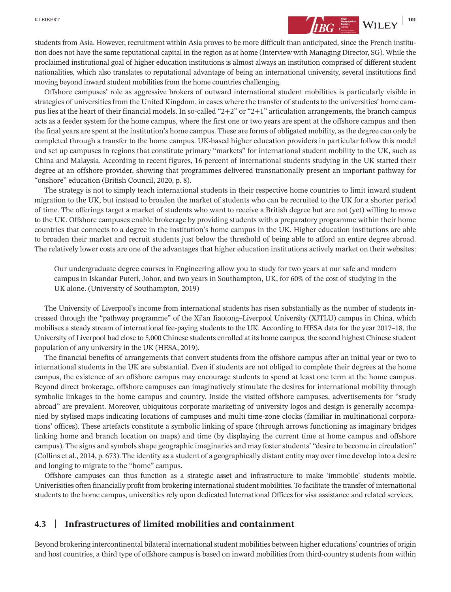students from Asia. However, recruitment within Asia proves to be more difficult than anticipated, since the French institution does not have the same reputational capital in the region as at home (Interview with Managing Director, SG). While the proclaimed institutional goal of higher education institutions is almost always an institution comprised of different student nationalities, which also translates to reputational advantage of being an international university, several institutions find moving beyond inward student mobilities from the home countries challenging.

Offshore campuses' role as aggressive brokers of outward international student mobilities is particularly visible in strategies of universities from the United Kingdom, in cases where the transfer of students to the universities' home campus lies at the heart of their financial models. In so-called "2+2" or "2+1" articulation arrangements, the branch campus acts as a feeder system for the home campus, where the first one or two years are spent at the offshore campus and then the final years are spent at the institution's home campus. These are forms of obligated mobility, asthe degree can only be completed through a transfer to the home campus. UK-based higher education providers in particular follow this model and set up campuses in regions that constitute primary "markets" for international student mobility to the UK, such as China and Malaysia. According to recent figures, 16 percent of international students studying in the UK started their degree at an offshore provider, showing that programmes delivered transnationally present an important pathway for "onshore" education (British Council, 2020, p. 8).

The strategy is not to simply teach international students in their respective home countries to limit inward student migration to the UK, but instead to broaden the market of students who can be recruited to the UK for a shorter period of time. The offerings target a market of students who want to receive a British degree but are not (yet) willing to move to the UK. Offshore campuses enable brokerage by providing students with a preparatory programme within their home countries that connects to a degree in the institution's home campus in the UK. Higher education institutions are able to broaden their market and recruit students just below the threshold of being able to afford an entire degree abroad. The relatively lower costs are one of the advantages that higher education institutions actively market on their websites:

Our undergraduate degree courses in Engineering allow you to study for two years at our safe and modern campus in Iskandar Puteri, Johor, and two years in Southampton, UK, for 60% of the cost of studying in the UK alone. (University of Southampton, 2019)

The University of Liverpool's income from international students has risen substantially as the number of students increased through the "pathway programme" of the Xi'an Jiaotong–Liverpool University (XJTLU) campus in China, which mobilises a steady stream of international fee-paying students to the UK. According to HESA data for the year 2017–18, the University of Liverpool had close to 5,000 Chinese students enrolled at its home campus, the second highest Chinese student population of any university in the UK (HESA, 2019).

The financial benefits of arrangements that convert students from the offshore campus after an initial year or two to international students in the UK are substantial. Even if students are not obliged to complete their degrees at the home campus, the existence of an offshore campus may encourage students to spend at least one term at the home campus. Beyond direct brokerage, offshore campuses can imaginatively stimulate the desires for international mobility through symbolic linkages to the home campus and country. Inside the visited offshore campuses, advertisements for "study abroad" are prevalent. Moreover, ubiquitous corporate marketing of university logos and design is generally accompanied by stylised maps indicating locations of campuses and multi time-zone clocks (familiar in multinational corporations' offices). These artefacts constitute a symbolic linking of space (through arrows functioning as imaginary bridges linking home and branch location on maps) and time (by displaying the current time at home campus and offshore campus). The signs and symbols shape geographic imaginaries and may foster students' "desire to become in circulation" (Collins et al., 2014, p. 673). The identity as a student of a geographically distant entity may overtime develop into a desire and longing to migrate to the "home" campus.

Offshore campuses can thus function as a strategic asset and infrastructure to make 'immobile' students mobile. Univerisities often financially profit from brokering international student mobilities. To facilitate the transfer of international students to the home campus, universities rely upon dedicated International Offices for visa assistance and related services.

## **4.3** | **Infrastructures of limited mobilities and containment**

Beyond brokering intercontinental bilateral internationalstudent mobilities between higher educations' countries of origin and host countries, a third type of offshore campus is based on inward mobilities from third-country students from within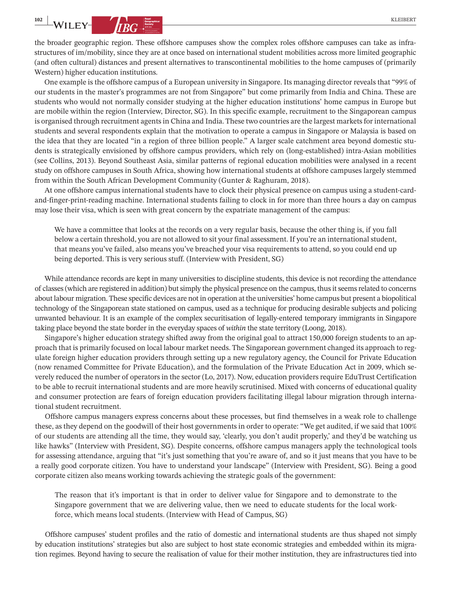the broader geographic region. These offshore campuses show the complex roles offshore campuses can take as infrastructures of im/mobility, since they are at once based on international student mobilities across more limited geographic (and often cultural) distances and present alternatives to transcontinental mobilities to the home campuses of (primarily Western) higher education institutions.

One example is the offshore campus of a European university in Singapore. Its managing director reveals that "99% of our students in the master's programmes are not from Singapore" but come primarily from India and China. These are students who would not normally consider studying at the higher education institutions' home campus in Europe but are mobile within the region (Interview, Director, SG). In this specific example, recruitment to the Singaporean campus is organised through recruitment agents in China and India. These two countries are the largest markets for international students and several respondents explain that the motivation to operate a campus in Singapore or Malaysia is based on the idea that they are located "in a region of three billion people." A larger scale catchment area beyond domestic students is strategically envisioned by offshore campus providers, which rely on (long-established) intra-Asian mobilities (see Collins, 2013). Beyond Southeast Asia, similar patterns of regional education mobilities were analysed in a recent study on offshore campuses in South Africa, showing how international students at offshore campuses largely stemmed from within the South African Development Community (Gunter & Raghuram, 2018).

At one offshore campus international students have to clock their physical presence on campus using a student-cardand-finger-print-reading machine. International students failing to clock in for more than three hours a day on campus may lose their visa, which is seen with great concern by the expatriate management of the campus:

We have a committee that looks at the records on a very regular basis, because the other thing is, if you fall below a certain threshold, you are not allowed to sit your final assessment. If you're an internationalstudent, that means you've failed, also means you've breached your visa requirements to attend, so you could end up being deported. This is very serious stuff. (Interview with President, SG)

While attendance records are kept in many universities to discipline students, this device is not recording the attendance of classes(which are registered in addition) butsimply the physical presence on the campus, thusitseemsrelated to concerns about labour migration. These specific devices are not in operation at the universities' home campus but present a biopolitical technology of the Singaporean state stationed on campus, used as a technique for producing desirable subjects and policing unwanted behaviour. It is an example of the complex securitisation of legally-entered temporary immigrants in Singapore taking place beyond the state border in the everyday spaces of *within* the state territory (Loong, 2018).

Singapore's higher education strategy shifted away from the original goal to attract 150,000 foreign students to an approach that is primarily focused on local labour market needs. The Singaporean government changed its approach to regulate foreign higher education providers through setting up a new regulatory agency, the Council for Private Education (now renamed Committee for Private Education), and the formulation of the Private Education Act in 2009, which severely reduced the number of operators in the sector (Lo, 2017). Now, education providers require EduTrust Certification to be able to recruit international students and are more heavily scrutinised. Mixed with concerns of educational quality and consumer protection are fears of foreign education providers facilitating illegal labour migration through international student recruitment.

Offshore campus managers express concerns about these processes, but find themselves in a weak role to challenge these, as they depend on the goodwill of their host governments in order to operate: "We get audited, if we said that 100% of our students are attending all the time, they would say, 'clearly, you don't audit properly,' and they'd be watching us like hawks" (Interview with President, SG). Despite concerns, offshore campus managers apply the technological tools for assessing attendance, arguing that "it's just something that you're aware of, and so it just means that you have to be a really good corporate citizen. You have to understand your landscape" (Interview with President, SG). Being a good corporate citizen also means working towards achieving the strategic goals of the government:

The reason that it's important is that in order to deliver value for Singapore and to demonstrate to the Singapore government that we are delivering value, then we need to educate students for the local workforce, which means local students. (Interview with Head of Campus, SG)

Offshore campuses' student profiles and the ratio of domestic and international students are thus shaped not simply by education institutions' strategies but also are subject to host state economic strategies and embedded within its migration regimes. Beyond having to secure the realisation of value for their mother institution, they are infrastructures tied into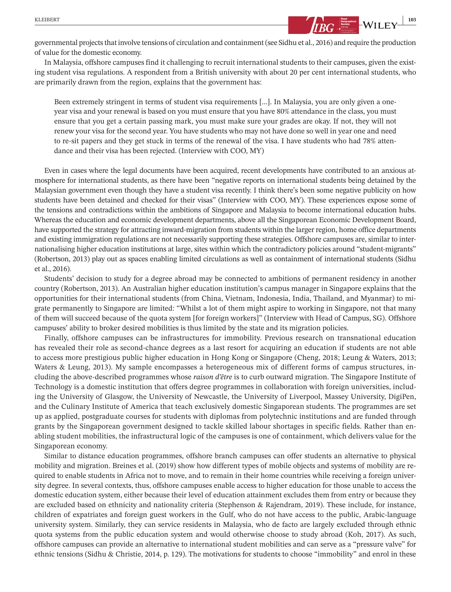governmental projects that involve tensions of circulation and containment (see Sidhu et al., 2016) and require the production of value for the domestic economy.

In Malaysia, offshore campuses find it challenging to recruit international students to their campuses, given the existing student visa regulations. A respondent from a British university with about 20 per cent international students, who are primarily drawn from the region, explains that the government has:

Been extremely stringent in terms of student visa requirements […]. In Malaysia, you are only given a oneyear visa and your renewal is based on you must ensure that you have 80% attendance in the class, you must ensure that you get a certain passing mark, you must make sure your grades are okay. If not, they will not renew your visa for the second year. You have students who may not have done so well in year one and need to re-sit papers and they get stuck in terms of the renewal of the visa. I have students who had 78% attendance and their visa has been rejected. (Interview with COO, MY)

Even in cases where the legal documents have been acquired, recent developments have contributed to an anxious atmosphere for international students, as there have been "negative reports on international students being detained by the Malaysian government even though they have a student visa recently. I think there's been some negative publicity on how students have been detained and checked for their visas" (Interview with COO, MY). These experiences expose some of the tensions and contradictions within the ambitions of Singapore and Malaysia to become international education hubs. Whereas the education and economic development departments, above all the Singaporean Economic Development Board, have supported the strategy for attracting inward-migration from students within the larger region, home office departments and existing immigration regulations are not necessarily supporting these strategies. Offshore campuses are, similar to internationalising higher education institutions at large, sites within which the contradictory policies around "student-migrants" (Robertson, 2013) play out as spaces enabling limited circulations as well as containment of international students (Sidhu et al., 2016).

Students' decision to study for a degree abroad may be connected to ambitions of permanent residency in another country (Robertson, 2013). An Australian higher education institution's campus manager in Singapore explains that the opportunities for their international students (from China, Vietnam, Indonesia, India, Thailand, and Myanmar) to migrate permanently to Singapore are limited: "Whilst a lot of them might aspire to working in Singapore, not that many of them will succeed because of the quota system [for foreign workers]" (Interview with Head of Campus, SG). Offshore campuses' ability to broker desired mobilities is thus limited by the state and its migration policies.

Finally, offshore campuses can be infrastructures for immobility. Previous research on transnational education has revealed their role as second-chance degrees as a last resort for acquiring an education if students are not able to access more prestigious public higher education in Hong Kong or Singapore (Cheng, 2018; Leung & Waters, 2013; Waters & Leung, 2013). My sample encompasses a heterogeneous mix of different forms of campus structures, including the above-described programmes whose *raison d'être* is to curb outward migration. The Singapore Institute of Technology is a domestic institution that offers degree programmes in collaboration with foreign universities, including the University of Glasgow, the University of Newcastle, the University of Liverpool, Massey University, DigiPen, and the Culinary Institute of America that teach exclusively domestic Singaporean students. The programmes are set up as applied, postgraduate courses for students with diplomas from polytechnic institutions and are funded through grants by the Singaporean government designed to tackle skilled labour shortages in specific fields. Rather than enabling student mobilities, the infrastructural logic of the campuses is one of containment, which delivers value for the Singaporean economy.

Similar to distance education programmes, offshore branch campuses can offer students an alternative to physical mobility and migration. Breines et al. (2019) show how different types of mobile objects and systems of mobility are required to enable students in Africa not to move, and to remain in their home countries while receiving a foreign university degree. In several contexts, thus, offshore campuses enable access to higher education for those unable to access the domestic education system, either because their level of education attainment excludes them from entry or because they are excluded based on ethnicity and nationality criteria (Stephenson & Rajendram, 2019). These include, for instance, children of expatriates and foreign guest workers in the Gulf, who do not have access to the public, Arabic-language university system. Similarly, they can service residents in Malaysia, who de facto are largely excluded through ethnic quota systems from the public education system and would otherwise choose to study abroad (Koh, 2017). As such, offshore campuses can provide an alternative to international student mobilities and can serve as a "pressure valve" for ethnic tensions (Sidhu & Christie, 2014, p. 129). The motivations for students to choose "immobility" and enrol in these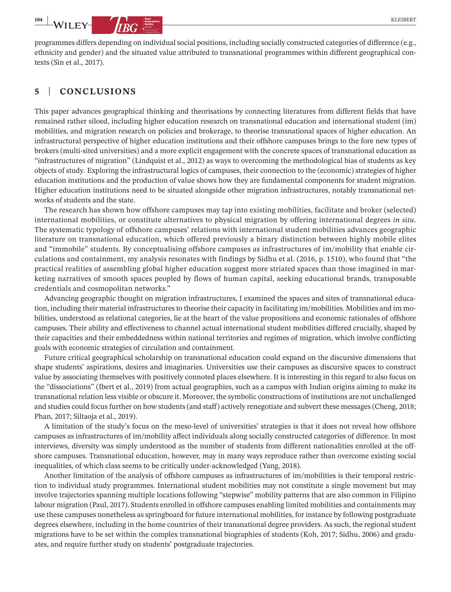programmes differs depending on individualsocial positions, including socially constructed categories of difference (e.g., ethnicity and gender) and the situated value attributed to transnational programmes within different geographical contexts (Sin et al., 2017).

## **5** | **CONCLUSIONS**

This paper advances geographical thinking and theorisations by connecting literatures from different fields that have remained rather siloed, including higher education research on transnational education and international student (im) mobilities, and migration research on policies and brokerage, to theorise transnational spaces of higher education. An infrastructural perspective of higher education institutions and their offshore campuses brings to the fore new types of brokers (multi-sited universities) and a more explicit engagement with the concrete spaces of transnational education as "infrastructures of migration" (Lindquist et al., 2012) as ways to overcoming the methodological bias of students as key objects of study. Exploring the infrastructural logics of campuses, their connection to the (economic) strategies of higher education institutions and the production of value shows how they are fundamental components for student migration. Higher education institutions need to be situated alongside other migration infrastructures, notably transnational networks of students and the state.

The research has shown how offshore campuses may tap into existing mobilities, facilitate and broker (selected) international mobilities, or constitute alternatives to physical migration by offering international degrees *in situ*. The systematic typology of offshore campuses' relations with international student mobilities advances geographic literature on transnational education, which offered previously a binary distinction between highly mobile elites and "immobile" students. By conceptualising offshore campuses as infrastructures of im/mobility that enable circulations and containment, my analysis resonates with findings by Sidhu et al. (2016, p. 1510), who found that "the practical realities of assembling global higher education suggest more striated spaces than those imagined in marketing narratives of smooth spaces peopled by flows of human capital, seeking educational brands, transposable credentials and cosmopolitan networks."

Advancing geographic thought on migration infrastructures, I examined the spaces and sites of transnational education, including their material infrastructures to theorise their capacity in facilitating im/mobilities. Mobilities and im mobilities, understood as relational categories, lie at the heart of the value propositions and economic rationales of offshore campuses. Their ability and effectiveness to channel actual international student mobilities differed crucially, shaped by their capacities and their embeddedness within national territories and regimes of migration, which involve conflicting goals with economic strategies of circulation and containment.

Future critical geographical scholarship on transnational education could expand on the discursive dimensions that shape students' aspirations, desires and imaginaries. Universities use their campuses as discursive spaces to construct value by associating themselves with positively connoted places elsewhere. It is interesting in this regard to also focus on the "dissociations" (Ibert et al., 2019) from actual geographies, such as a campus with Indian origins aiming to make its transnational relation less visible or obscure it. Moreover, the symbolic constructions of institutions are not unchallenged and studies could focus further on how students (and staff) actively renegotiate and subvert these messages (Cheng, 2018; Phan, 2017; Siltaoja et al., 2019).

A limitation of the study's focus on the meso-level of universities' strategies is that it does not reveal how offshore campuses as infrastructures of im/mobility affect individuals along socially constructed categories of difference. In most interviews, diversity was simply understood as the number of students from different nationalities enrolled at the offshore campuses. Transnational education, however, may in many ways reproduce rather than overcome existing social inequalities, of which class seems to be critically under-acknowledged (Yang, 2018).

Another limitation of the analysis of offshore campuses as infrastructures of im/mobilities is their temporal restriction to individual study programmes. International student mobilities may not constitute a single movement but may involve trajectories spanning multiple locations following "stepwise" mobility patterns that are also common in Filipino labour migration (Paul, 2017). Students enrolled in offshore campuses enabling limited mobilities and containments may use these campuses nonetheless asspringboard for future international mobilities, for instance by following postgraduate degrees elsewhere, including in the home countries of their transnational degree providers. As such, the regional student migrations have to be set within the complex transnational biographies of students (Koh, 2017; Sidhu, 2006) and graduates, and require further study on students' postgraduate trajectories.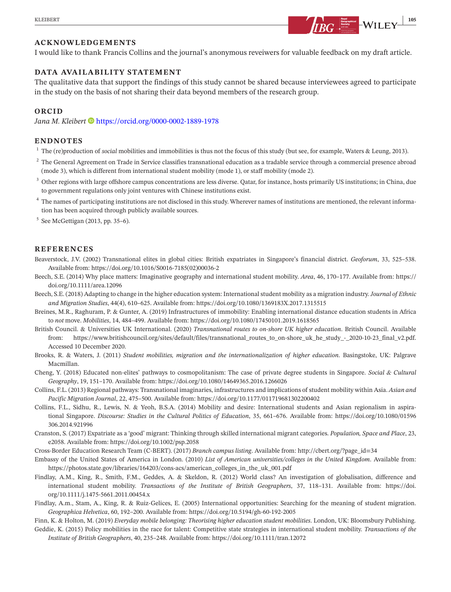

I would like to thank Francis Collins and the journal's anonymous reveiwers for valuable feedback on my draft article.

## **DATA AVAILABILITY STATEMENT**

The qualitative data that support the findings of this study cannot be shared because interviewees agreed to participate in the study on the basis of not sharing their data beyond members of the research group.

#### **ORCID**

Jana M. Kleibert<sup> •</sup> <https://orcid.org/0000-0002-1889-1978>

#### **ENDNOTES**

- <sup>1</sup> The (re)production of *social* mobilities and immobilities is thus not the focus of this study (but see, for example, Waters & Leung, 2013).
- <sup>2</sup> The General Agreement on Trade in Service classifies transnational education as a tradable service through a commercial presence abroad (mode 3), which is different from international student mobility (mode 1), or staff mobility (mode 2).
- <sup>3</sup> Other regions with large offshore campus concentrations are less diverse. Qatar, for instance, hosts primarily US institutions; in China, due to government regulations only joint ventures with Chinese institutions exist.
- <sup>4</sup> The names of participating institutions are not disclosed in this study. Wherever names of institutions are mentioned, the relevant information has been acquired through publicly available sources.
- $5$  See McGettigan (2013, pp. 35–6).

#### **REFERENCES**

- Beaverstock, J.V. (2002) Transnational elites in global cities: British expatriates in Singapore's financial district. *Geoforum*, 33, 525–538. Available from: [https://doi.org/10.1016/S0016-7185\(02\)00036-2](https://doi.org/10.1016/S0016-7185(02)00036-2)
- Beech, S.E. (2014) Why place matters: Imaginative geography and international student mobility. *Area*, 46, 170–177. Available from: [https://](https://doi.org/10.1111/area.12096) [doi.org/10.1111/area.12096](https://doi.org/10.1111/area.12096)
- Beech, S.E. (2018) Adapting to change in the higher education system: Internationalstudent mobility as a migration industry.*Journal of Ethnic and Migration Studies*, 44(4), 610–625. Available from: <https://doi.org/10.1080/1369183X.2017.1315515>
- Breines, M.R., Raghuram, P. & Gunter, A. (2019) Infrastructures of immobility: Enabling international distance education students in Africa to *not* move. *Mobilities*, 14, 484–499. Available from: <https://doi.org/10.1080/17450101.2019.1618565>
- British Council. & Universities UK International. (2020) *Transnational routes to on-shore UK higher education*. British Council. Available from: [https://www.britishcouncil.org/sites/default/files/transnational\\_routes\\_to\\_on-shore\\_uk\\_he\\_study\\_-\\_2020-10-23\\_final\\_v2.pdf.](https://www.universitiesuk.ac.uk/policy-and-analysis/reports/Pages/Transnational-routes-to-on-shore-UK-higher-education.aspx) Accessed 10 December 2020.
- Brooks, R. & Waters, J. (2011) *Student mobilities, migration and the internationalization of higher education*. Basingstoke, UK: Palgrave Macmillan.
- Cheng, Y. (2018) Educated non-elites' pathways to cosmopolitanism: The case of private degree students in Singapore. *Social & Cultural Geography*, 19, 151–170. Available from: <https://doi.org/10.1080/14649365.2016.1266026>
- Collins, F.L. (2013) Regional pathways: Transnational imaginaries, infrastructures and implications of student mobility within Asia. *Asian and Pacific Migration Journal*, 22, 475–500. Available from: <https://doi.org/10.1177/011719681302200402>
- Collins, F.L., Sidhu, R., Lewis, N. & Yeoh, B.S.A. (2014) Mobility and desire: International students and Asian regionalism in aspirational Singapore. *Discourse: Studies in the Cultural Politics of Education*, 35, 661–676. Available from: [https://doi.org/10.1080/01596](https://doi.org/10.1080/01596306.2014.921996) [306.2014.921996](https://doi.org/10.1080/01596306.2014.921996)
- Cranston, S. (2017) Expatriate as a 'good' migrant: Thinking through skilled international migrant categories. *Population, Space and Place*, 23, e2058. Available from: <https://doi.org/10.1002/psp.2058>
- Cross-Border Education Research Team (C-BERT). (2017) *Branch campus listing*. Available from: [http://cbert.org/?page\\_id=34](http://cbert.org/?page_id=34)
- Embassy of the United States of America in London. (2010) *List of American universities/colleges in the United Kingdom*. Available from: [https://photos.state.gov/libraries/164203/cons-acs/american\\_colleges\\_in\\_the\\_uk\\_001.pdf](https://photos.state.gov/libraries/164203/cons-acs/american_colleges_in_the_uk_001.pdf)
- Findlay, A.M., King, R., Smith, F.M., Geddes, A. & Skeldon, R. (2012) World class? An investigation of globalisation, difference and international student mobility. *Transactions of the Institute of British Geographers*, 37, 118–131. Available from: [https://doi.](https://doi.org/10.1111/j.1475-5661.2011.00454.x) [org/10.1111/j.1475-5661.2011.00454.x](https://doi.org/10.1111/j.1475-5661.2011.00454.x)
- Findlay, A.m., Stam, A., King, R. & Ruiz-Gelices, E. (2005) International opportunities: Searching for the meaning of student migration. *Geographica Helvetica*, 60, 192–200. Available from: <https://doi.org/10.5194/gh-60-192-2005>

Finn, K. & Holton, M. (2019) *Everyday mobile belonging: Theorising higher education student mobilities*. London, UK: Bloomsbury Publishing.

Geddie, K. (2015) Policy mobilities in the race for talent: Competitive state strategies in international student mobility. *Transactions of the Institute of British Geographers*, 40, 235–248. Available from: <https://doi.org/10.1111/tran.12072>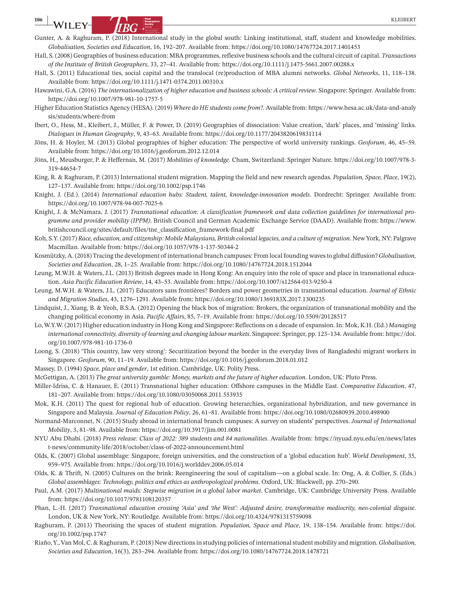**106 |** KLEIBERT

- Gunter, A. & Raghuram, P. (2018) International study in the global south: Linking institutional, staff, student and knowledge mobilities. *Globalisation, Societies and Education*, 16, 192–207. Available from: <https://doi.org/10.1080/14767724.2017.1401453>
- Hall, S. (2008) Geographies of business education: MBA programmes,reflexive businessschools and the cultural circuit of capital. *Transactions of the Institute of British Geographers*, 33, 27–41. Available from: <https://doi.org/10.1111/j.1475-5661.2007.00288.x>
- Hall, S. (2011) Educational ties, social capital and the translocal (re)production of MBA alumni networks. *Global Networks*, 11, 118–138. Available from: <https://doi.org/10.1111/j.1471-0374.2011.00310.x>
- Hawawini, G.A. (2016) *The internationalization of higher education and business schools: A critical review*. Singapore: Springer. Available from: <https://doi.org/10.1007/978-981-10-1757-5>
- Higher Education Statistics Agency (HESA). (2019) *Where do HE students come from?*. Available from: [https://www.hesa.ac.uk/data-and-analy](https://www.hesa.ac.uk/data-and-analysis/students/where-from) [sis/students/where-from](https://www.hesa.ac.uk/data-and-analysis/students/where-from)
- Ibert, O., Hess, M., Kleibert, J., Müller, F. & Power, D. (2019) Geographies of dissociation: Value creation, 'dark' places, and 'missing' links. *Dialogues in Human Geography*, 9, 43–63. Available from: <https://doi.org/10.1177/2043820619831114>
- Jöns, H. & Hoyler, M. (2013) Global geographies of higher education: The perspective of world university rankings. *Geoforum*, 46, 45–59. Available from: <https://doi.org/10.1016/j.geoforum.2012.12.014>
- Jöns, H., Meusburger, P. & Heffernan, M. (2017) *Mobilities of knowledge*. Cham, Switzerland: Springer Nature. [https://doi.org/10.1007/978-3-](https://doi.org/10.1007/978-3-319-44654-7) [319-44654-7](https://doi.org/10.1007/978-3-319-44654-7)
- King, R. & Raghuram, P. (2013) International student migration. Mapping the field and new research agendas. *Population, Space, Place*, 19(2), 127–137. Available from: <https://doi.org/10.1002/psp.1746>
- Knight, J. (Ed.). (2014) *International education hubs: Student, talent, knowledge-innovation models*. Dordrecht: Springer. Available from: <https://doi.org/10.1007/978-94-007-7025-6>
- Knight, J. & McNamara, J. (2017) *Transnational education: A classification framework and data collection guidelines for international programme and provider mobility (IPPM)*. British Council and German Academic Exchange Service (DAAD). Available from: [https://www.](https://www.britishcouncil.org/sites/default/files/tne_classification_framework-final.pdf) [britishcouncil.org/sites/default/files/tne\\_classification\\_framework-final.pdf](https://www.britishcouncil.org/sites/default/files/tne_classification_framework-final.pdf)
- Koh, S.Y. (2017) *Race, education, and citizenship: Mobile Malaysians, British colonial legacies, and a culture of migration*. New York, NY: Palgrave Macmillan. Available from: <https://doi.org/10.1057/978-1-137-50344-2>
- Kosmützky, A.(2018)Tracing the development of international branch campuses: From local founding wavesto global diffusion?*Globalisation, Societies and Education*, 28, 1–25. Available from: <https://doi.org/10.1080/14767724.2018.1512044>
- Leung, M.W.H. & Waters, J.L. (2013) British degrees made in Hong Kong: An enquiry into the role of space and place in transnational education. *Asia Pacific Education Review*, 14, 43–53. Available from: <https://doi.org/10.1007/s12564-013-9250-4>
- Leung, M.W.H. & Waters, J.L. (2017) Educators sans frontières? Borders and power geometries in transnational education. *Journal of Ethnic and Migration Studies*, 43, 1276–1291. Available from: <https://doi.org/10.1080/1369183X.2017.1300235>
- Lindquist, J., Xiang, B. & Yeoh, B.S.A. (2012) Opening the black box of migration: Brokers, the organization of transnational mobility and the changing political economy in Asia. *Pacific Affairs*, 85, 7–19. Available from: <https://doi.org/10.5509/20128517>
- Lo, W.Y.W. (2017) Higher education industry in Hong Kong and Singapore: Reflections on a decade of expansion. In: Mok, K.H. (Ed.) *Managing international connectivity, diversity of learning and changing labour markets*. Singapore: Springer, pp. 123–134. Available from: [https://doi.](https://doi.org/10.1007/978-981-10-1736-0) [org/10.1007/978-981-10-1736-0](https://doi.org/10.1007/978-981-10-1736-0)
- Loong, S. (2018) 'This country, law very strong': Securitization beyond the border in the everyday lives of Bangladeshi migrant workers in Singapore. *Geoforum*, 90, 11–19. Available from: <https://doi.org/10.1016/j.geoforum.2018.01.012>
- Massey, D. (1994) *Space, place and gender*, 1st edition. Cambridge, UK: Polity Press.

McGettigan, A. (2013) *The great university gamble: Money, markets and the future of higher education*. London, UK: Pluto Press.

- Miller-Idriss, C. & Hanauer, E. (2011) Transnational higher education: Offshore campuses in the Middle East. *Comparative Education*, 47, 181–207. Available from: <https://doi.org/10.1080/03050068.2011.553935>
- Mok, K.H. (2011) The quest for regional hub of education. Growing heterarchies, organizational hybridization, and new governance in Singapore and Malaysia. *Journal of Education Policy*, 26, 61–81. Available from: <https://doi.org/10.1080/02680939.2010.498900>
- Normand-Marconnet, N. (2015) Study abroad in international branch campuses: A survey on students' perspectives. *Journal of International Mobility*, 3, 81–98. Available from: <https://doi.org/10.3917/jim.001.0081>
- NYU Abu Dhabi. (2018) *Press release: Class of 2022: 389 students and 84 nationalities*. Available from: [https://nyuad.nyu.edu/en/news/lates](https://nyuad.nyu.edu/en/news/latest-news/community-life/2018/october/class-of-2022-announcement.html) [t-news/community-life/2018/october/class-of-2022-announcement.html](https://nyuad.nyu.edu/en/news/latest-news/community-life/2018/october/class-of-2022-announcement.html)
- Olds, K. (2007) Global assemblage: Singapore, foreign universities, and the construction of a 'global education hub'. *World Development*, 35, 959–975. Available from: <https://doi.org/10.1016/j.worlddev.2006.05.014>
- Olds, K. & Thrift, N. (2005) Cultures on the brink: Reengineering the soul of capitalism—on a global scale. In: Ong, A. & Collier, S. (Eds.) *Global assemblages: Technology, politics and ethics as anthropological problems*. Oxford, UK: Blackwell, pp. 270–290.
- Paul, A.M. (2017) Multinational maids: Stepwise migration in a global labor market. Cambridge, UK: Cambridge University Press. Available from: <https://doi.org/10.1017/9781108120357>
- Phan, L.-H. (2017) *Transnational education crossing 'Asia' and 'the West': Adjusted desire, transformative mediocrity, neo-colonial disguise*. London, UK & New York, NY: Routledge. Available from: <https://doi.org/10.4324/9781315759098>
- Raghuram, P. (2013) Theorising the spaces of student migration. *Population, Space and Place*, 19, 138–154. Available from: [https://doi.](https://doi.org/10.1002/psp.1747) [org/10.1002/psp.1747](https://doi.org/10.1002/psp.1747)
- Riaño,Y.,Van Mol, C. & Raghuram, P.(2018) New directionsin studying policies of internationalstudent mobility and migration.*Globalisation, Societies and Education*, 16(3), 283–294. Available from: <https://doi.org/10.1080/14767724.2018.1478721>